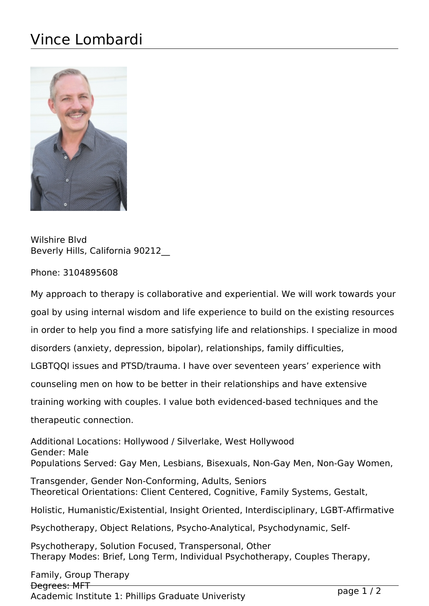## Vince Lombardi



Wilshire Blvd Beverly Hills, California 90212\_\_

Phone: 3104895608

My approach to therapy is collaborative and experiential. We will work towards your goal by using internal wisdom and life experience to build on the existing resources in order to help you find a more satisfying life and relationships. I specialize in mood disorders (anxiety, depression, bipolar), relationships, family difficulties, LGBTQQI issues and PTSD/trauma. I have over seventeen years' experience with counseling men on how to be better in their relationships and have extensive training working with couples. I value both evidenced-based techniques and the therapeutic connection.

Additional Locations: Hollywood / Silverlake, West Hollywood Gender: Male Populations Served: Gay Men, Lesbians, Bisexuals, Non-Gay Men, Non-Gay Women, Transgender, Gender Non-Conforming, Adults, Seniors Theoretical Orientations: Client Centered, Cognitive, Family Systems, Gestalt, Holistic, Humanistic/Existential, Insight Oriented, Interdisciplinary, LGBT-Affirmative Psychotherapy, Object Relations, Psycho-Analytical, Psychodynamic, Self-Psychotherapy, Solution Focused, Transpersonal, Other

Therapy Modes: Brief, Long Term, Individual Psychotherapy, Couples Therapy,

Family, Group Therapy Degrees: MFT Academic Institute 1: Phillips Graduate Univeristy page 1 / 2